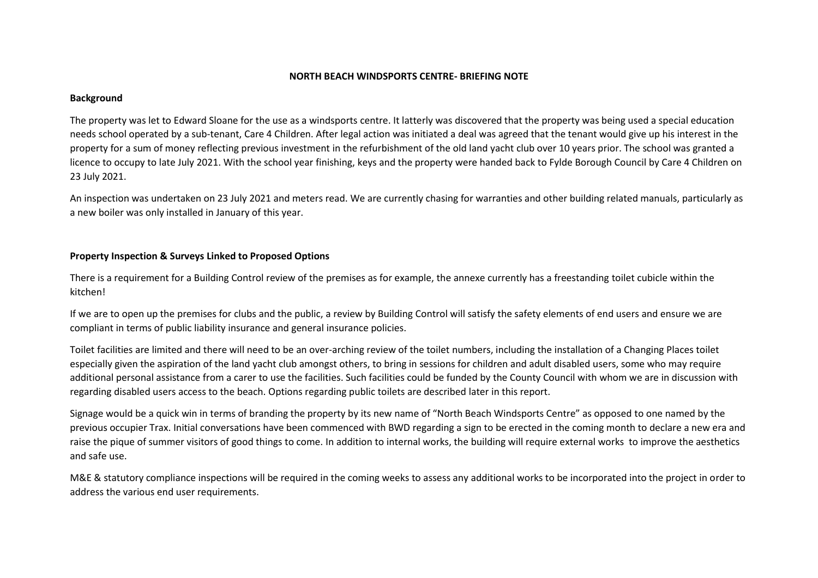#### **NORTH BEACH WINDSPORTS CENTRE- BRIEFING NOTE**

#### **Background**

The property was let to Edward Sloane for the use as a windsports centre. It latterly was discovered that the property was being used a special education needs school operated by a sub-tenant, Care 4 Children. After legal action was initiated a deal was agreed that the tenant would give up his interest in the property for a sum of money reflecting previous investment in the refurbishment of the old land yacht club over 10 years prior. The school was granted a licence to occupy to late July 2021. With the school year finishing, keys and the property were handed back to Fylde Borough Council by Care 4 Children on 23 July 2021.

An inspection was undertaken on 23 July 2021 and meters read. We are currently chasing for warranties and other building related manuals, particularly as a new boiler was only installed in January of this year.

# **Property Inspection & Surveys Linked to Proposed Options**

There is a requirement for a Building Control review of the premises as for example, the annexe currently has a freestanding toilet cubicle within the kitchen!

If we are to open up the premises for clubs and the public, a review by Building Control will satisfy the safety elements of end users and ensure we are compliant in terms of public liability insurance and general insurance policies.

Toilet facilities are limited and there will need to be an over-arching review of the toilet numbers, including the installation of a Changing Places toilet especially given the aspiration of the land yacht club amongst others, to bring in sessions for children and adult disabled users, some who may require additional personal assistance from a carer to use the facilities. Such facilities could be funded by the County Council with whom we are in discussion with regarding disabled users access to the beach. Options regarding public toilets are described later in this report.

Signage would be a quick win in terms of branding the property by its new name of "North Beach Windsports Centre" as opposed to one named by the previous occupier Trax. Initial conversations have been commenced with BWD regarding a sign to be erected in the coming month to declare a new era and raise the pique of summer visitors of good things to come. In addition to internal works, the building will require external works to improve the aesthetics and safe use.

M&E & statutory compliance inspections will be required in the coming weeks to assess any additional works to be incorporated into the project in order to address the various end user requirements.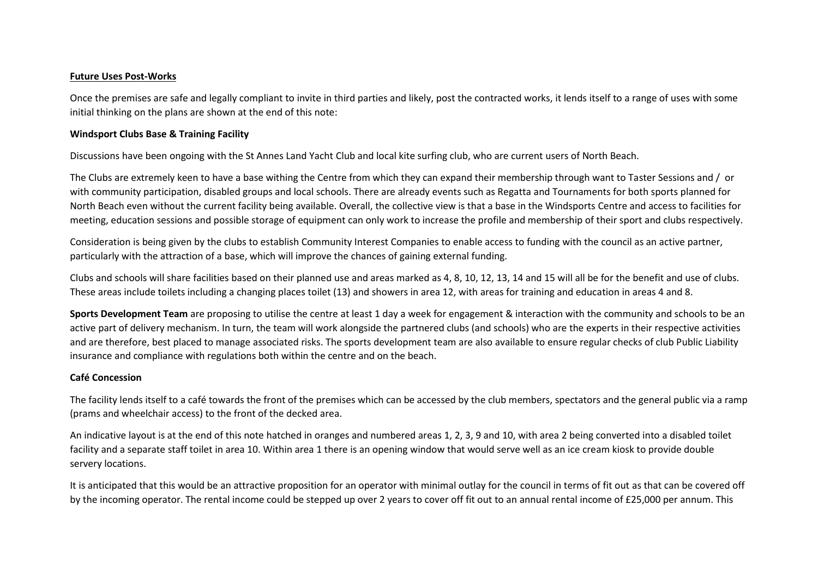#### **Future Uses Post-Works**

Once the premises are safe and legally compliant to invite in third parties and likely, post the contracted works, it lends itself to a range of uses with some initial thinking on the plans are shown at the end of this note:

### **Windsport Clubs Base & Training Facility**

Discussions have been ongoing with the St Annes Land Yacht Club and local kite surfing club, who are current users of North Beach.

The Clubs are extremely keen to have a base withing the Centre from which they can expand their membership through want to Taster Sessions and / or with community participation, disabled groups and local schools. There are already events such as Regatta and Tournaments for both sports planned for North Beach even without the current facility being available. Overall, the collective view is that a base in the Windsports Centre and access to facilities for meeting, education sessions and possible storage of equipment can only work to increase the profile and membership of their sport and clubs respectively.

Consideration is being given by the clubs to establish Community Interest Companies to enable access to funding with the council as an active partner, particularly with the attraction of a base, which will improve the chances of gaining external funding.

Clubs and schools will share facilities based on their planned use and areas marked as 4, 8, 10, 12, 13, 14 and 15 will all be for the benefit and use of clubs. These areas include toilets including a changing places toilet (13) and showers in area 12, with areas for training and education in areas 4 and 8.

**Sports Development Team** are proposing to utilise the centre at least 1 day a week for engagement & interaction with the community and schools to be an active part of delivery mechanism. In turn, the team will work alongside the partnered clubs (and schools) who are the experts in their respective activities and are therefore, best placed to manage associated risks. The sports development team are also available to ensure regular checks of club Public Liability insurance and compliance with regulations both within the centre and on the beach.

# **Café Concession**

The facility lends itself to a café towards the front of the premises which can be accessed by the club members, spectators and the general public via a ramp (prams and wheelchair access) to the front of the decked area.

An indicative layout is at the end of this note hatched in oranges and numbered areas 1, 2, 3, 9 and 10, with area 2 being converted into a disabled toilet facility and a separate staff toilet in area 10. Within area 1 there is an opening window that would serve well as an ice cream kiosk to provide double servery locations.

It is anticipated that this would be an attractive proposition for an operator with minimal outlay for the council in terms of fit out as that can be covered off by the incoming operator. The rental income could be stepped up over 2 years to cover off fit out to an annual rental income of £25,000 per annum. This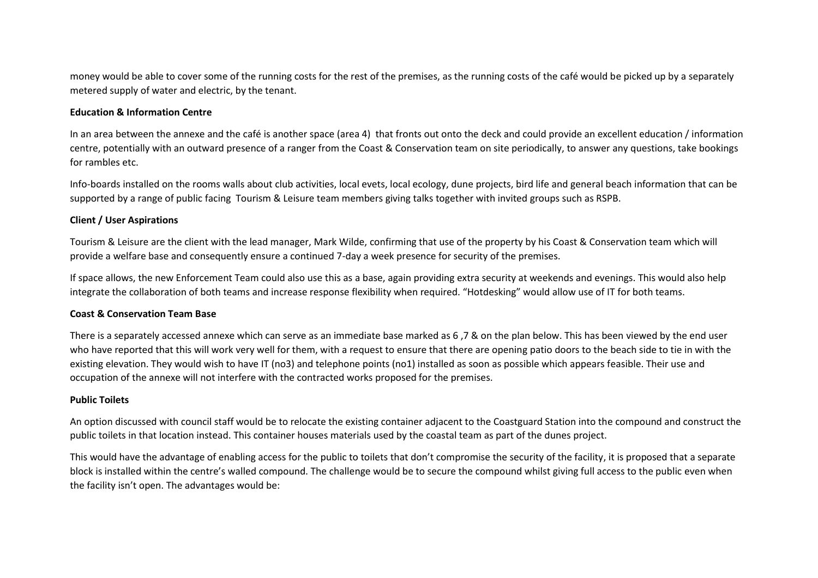money would be able to cover some of the running costs for the rest of the premises, as the running costs of the café would be picked up by a separately metered supply of water and electric, by the tenant.

#### **Education & Information Centre**

In an area between the annexe and the café is another space (area 4) that fronts out onto the deck and could provide an excellent education / information centre, potentially with an outward presence of a ranger from the Coast & Conservation team on site periodically, to answer any questions, take bookings for rambles etc.

Info-boards installed on the rooms walls about club activities, local evets, local ecology, dune projects, bird life and general beach information that can be supported by a range of public facing Tourism & Leisure team members giving talks together with invited groups such as RSPB.

# **Client / User Aspirations**

Tourism & Leisure are the client with the lead manager, Mark Wilde, confirming that use of the property by his Coast & Conservation team which will provide a welfare base and consequently ensure a continued 7-day a week presence for security of the premises.

If space allows, the new Enforcement Team could also use this as a base, again providing extra security at weekends and evenings. This would also help integrate the collaboration of both teams and increase response flexibility when required. "Hotdesking" would allow use of IT for both teams.

#### **Coast & Conservation Team Base**

There is a separately accessed annexe which can serve as an immediate base marked as 6 ,7 & on the plan below. This has been viewed by the end user who have reported that this will work very well for them, with a request to ensure that there are opening patio doors to the beach side to tie in with the existing elevation. They would wish to have IT (no3) and telephone points (no1) installed as soon as possible which appears feasible. Their use and occupation of the annexe will not interfere with the contracted works proposed for the premises.

#### **Public Toilets**

An option discussed with council staff would be to relocate the existing container adjacent to the Coastguard Station into the compound and construct the public toilets in that location instead. This container houses materials used by the coastal team as part of the dunes project.

This would have the advantage of enabling access for the public to toilets that don't compromise the security of the facility, it is proposed that a separate block is installed within the centre's walled compound. The challenge would be to secure the compound whilst giving full access to the public even when the facility isn't open. The advantages would be: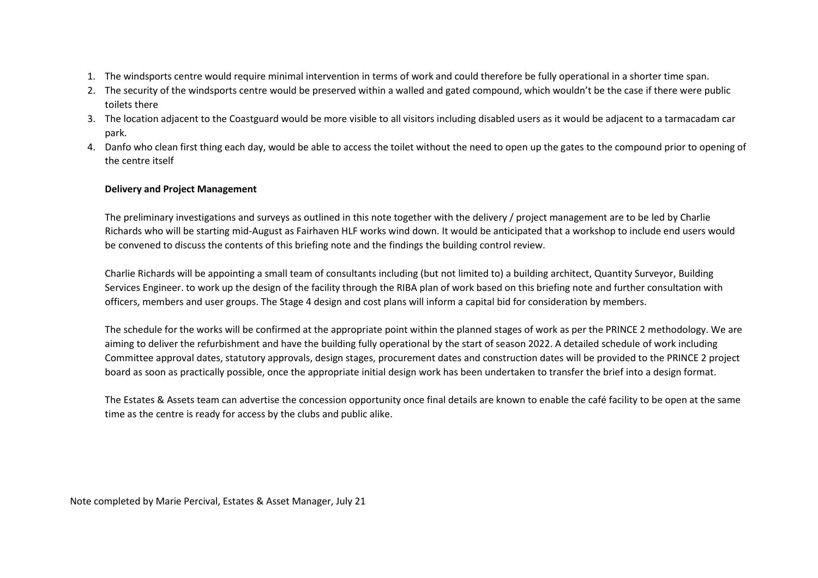- 1. The windsports centre would require minimal intervention in terms of work and could therefore be fully operational in a shorter time span.
- 2. The security of the windsports centre would be preserved within a walled and gated compound, which wouldn't be the case if there were public toilets there
- 3. The location adjacent to the Coastguard would be more visible to all visitors including disabled users as it would be adjacent to a tarmacadam car park.
- 4. Danfo who clean first thing each day, would be able to access the toilet without the need to open up the gates to the compound prior to opening of the centre itself

# **Delivery and Project Management**

The preliminary investigations and surveys as outlined in this note together with the delivery / project management are to be led by Charlie Richards who will be starting mid-August as Fairhaven HLF works wind down. It would be anticipated that a workshop to include end users would be convened to discuss the contents of this briefing note and the findings the building control review.

Charlie Richards will be appointing a small team of consultants including (but not limited to) a building architect, Quantity Surveyor, Building Services Engineer. to work up the design of the facility through the RIBA plan of work based on this briefing note and further consultation with officers, members and user groups. The Stage 4 design and cost plans will inform a capital bid for consideration by members.

The schedule for the works will be confirmed at the appropriate point within the planned stages of work as per the PRINCE 2 methodology. We are aiming to deliver the refurbishment and have the building fully operational by the start of season 2022. A detailed schedule of work including Committee approval dates, statutory approvals, design stages, procurement dates and construction dates will be provided to the PRINCE 2 project board as soon as practically possible, once the appropriate initial design work has been undertaken to transfer the brief into a design format.

The Estates & Assets team can advertise the concession opportunity once final details are known to enable the café facility to be open at the same time as the centre is ready for access by the clubs and public alike.

Note completed by Marie Percival, Estates & Asset Manager, July 21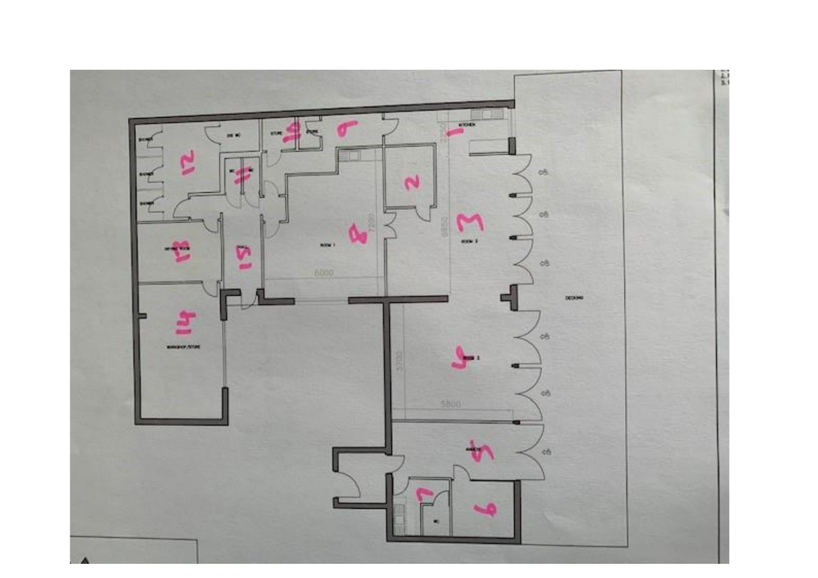